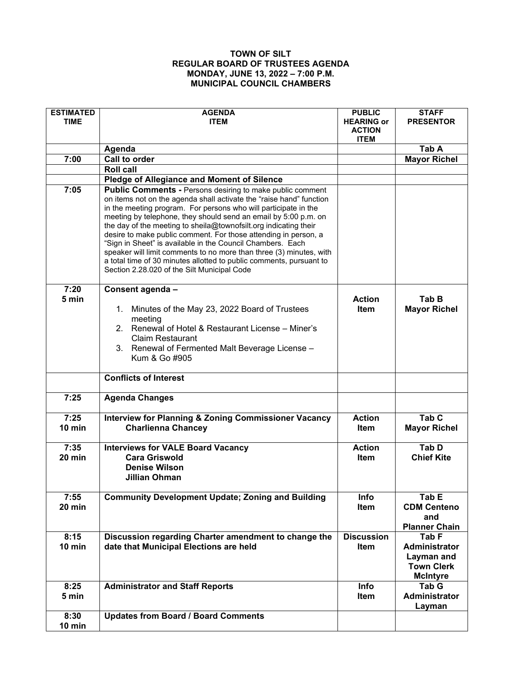## **TOWN OF SILT REGULAR BOARD OF TRUSTEES AGENDA MONDAY, JUNE 13, 2022 – 7:00 P.M. MUNICIPAL COUNCIL CHAMBERS**

| <b>ESTIMATED</b><br><b>TIME</b> | <b>AGENDA</b><br><b>ITEM</b>                                                                                                                                                                                                                                                                                                                                                                                                                                                                                                                                                                                | <b>PUBLIC</b><br><b>HEARING or</b> | <b>STAFF</b><br><b>PRESENTOR</b> |
|---------------------------------|-------------------------------------------------------------------------------------------------------------------------------------------------------------------------------------------------------------------------------------------------------------------------------------------------------------------------------------------------------------------------------------------------------------------------------------------------------------------------------------------------------------------------------------------------------------------------------------------------------------|------------------------------------|----------------------------------|
|                                 |                                                                                                                                                                                                                                                                                                                                                                                                                                                                                                                                                                                                             | <b>ACTION</b>                      |                                  |
|                                 |                                                                                                                                                                                                                                                                                                                                                                                                                                                                                                                                                                                                             | <b>ITEM</b>                        | Tab A                            |
| 7:00                            | Agenda<br>Call to order                                                                                                                                                                                                                                                                                                                                                                                                                                                                                                                                                                                     |                                    | <b>Mayor Richel</b>              |
|                                 | <b>Roll call</b>                                                                                                                                                                                                                                                                                                                                                                                                                                                                                                                                                                                            |                                    |                                  |
|                                 | <b>Pledge of Allegiance and Moment of Silence</b>                                                                                                                                                                                                                                                                                                                                                                                                                                                                                                                                                           |                                    |                                  |
| 7:05                            | <b>Public Comments - Persons desiring to make public comment</b>                                                                                                                                                                                                                                                                                                                                                                                                                                                                                                                                            |                                    |                                  |
|                                 | on items not on the agenda shall activate the "raise hand" function<br>in the meeting program. For persons who will participate in the<br>meeting by telephone, they should send an email by 5:00 p.m. on<br>the day of the meeting to sheila@townofsilt.org indicating their<br>desire to make public comment. For those attending in person, a<br>"Sign in Sheet" is available in the Council Chambers. Each<br>speaker will limit comments to no more than three (3) minutes, with<br>a total time of 30 minutes allotted to public comments, pursuant to<br>Section 2.28.020 of the Silt Municipal Code |                                    |                                  |
| 7:20                            | Consent agenda -                                                                                                                                                                                                                                                                                                                                                                                                                                                                                                                                                                                            |                                    |                                  |
| 5 min                           |                                                                                                                                                                                                                                                                                                                                                                                                                                                                                                                                                                                                             | <b>Action</b>                      | Tab B                            |
|                                 | Minutes of the May 23, 2022 Board of Trustees<br>1.                                                                                                                                                                                                                                                                                                                                                                                                                                                                                                                                                         | Item                               | <b>Mayor Richel</b>              |
|                                 | meeting<br>2. Renewal of Hotel & Restaurant License - Miner's                                                                                                                                                                                                                                                                                                                                                                                                                                                                                                                                               |                                    |                                  |
|                                 | <b>Claim Restaurant</b>                                                                                                                                                                                                                                                                                                                                                                                                                                                                                                                                                                                     |                                    |                                  |
|                                 | 3. Renewal of Fermented Malt Beverage License -                                                                                                                                                                                                                                                                                                                                                                                                                                                                                                                                                             |                                    |                                  |
|                                 | Kum & Go #905                                                                                                                                                                                                                                                                                                                                                                                                                                                                                                                                                                                               |                                    |                                  |
|                                 |                                                                                                                                                                                                                                                                                                                                                                                                                                                                                                                                                                                                             |                                    |                                  |
|                                 | <b>Conflicts of Interest</b>                                                                                                                                                                                                                                                                                                                                                                                                                                                                                                                                                                                |                                    |                                  |
| 7:25                            | <b>Agenda Changes</b>                                                                                                                                                                                                                                                                                                                                                                                                                                                                                                                                                                                       |                                    |                                  |
| 7:25                            | <b>Interview for Planning &amp; Zoning Commissioner Vacancy</b>                                                                                                                                                                                                                                                                                                                                                                                                                                                                                                                                             | <b>Action</b>                      | Tab <sub>C</sub>                 |
| 10 min                          | <b>Charlienna Chancey</b>                                                                                                                                                                                                                                                                                                                                                                                                                                                                                                                                                                                   | <b>Item</b>                        | <b>Mayor Richel</b>              |
| 7:35                            | <b>Interviews for VALE Board Vacancy</b>                                                                                                                                                                                                                                                                                                                                                                                                                                                                                                                                                                    | <b>Action</b>                      | Tab D                            |
| 20 min                          | <b>Cara Griswold</b>                                                                                                                                                                                                                                                                                                                                                                                                                                                                                                                                                                                        | Item                               | <b>Chief Kite</b>                |
|                                 | <b>Denise Wilson</b>                                                                                                                                                                                                                                                                                                                                                                                                                                                                                                                                                                                        |                                    |                                  |
|                                 | <b>Jillian Ohman</b>                                                                                                                                                                                                                                                                                                                                                                                                                                                                                                                                                                                        |                                    |                                  |
| 7:55                            | <b>Community Development Update; Zoning and Building</b>                                                                                                                                                                                                                                                                                                                                                                                                                                                                                                                                                    | Info                               | Tab E                            |
| <b>20 min</b>                   |                                                                                                                                                                                                                                                                                                                                                                                                                                                                                                                                                                                                             | <b>Item</b>                        | <b>CDM Centeno</b>               |
|                                 |                                                                                                                                                                                                                                                                                                                                                                                                                                                                                                                                                                                                             |                                    | and                              |
|                                 |                                                                                                                                                                                                                                                                                                                                                                                                                                                                                                                                                                                                             |                                    | <b>Planner Chain</b>             |
| 8:15                            | Discussion regarding Charter amendment to change the                                                                                                                                                                                                                                                                                                                                                                                                                                                                                                                                                        | <b>Discussion</b>                  | Tab <sub>F</sub>                 |
| $10$ min                        | date that Municipal Elections are held                                                                                                                                                                                                                                                                                                                                                                                                                                                                                                                                                                      | Item                               | Administrator                    |
|                                 |                                                                                                                                                                                                                                                                                                                                                                                                                                                                                                                                                                                                             |                                    | Layman and                       |
|                                 |                                                                                                                                                                                                                                                                                                                                                                                                                                                                                                                                                                                                             |                                    | <b>Town Clerk</b>                |
|                                 |                                                                                                                                                                                                                                                                                                                                                                                                                                                                                                                                                                                                             |                                    | <b>McIntyre</b>                  |
| 8:25                            | <b>Administrator and Staff Reports</b>                                                                                                                                                                                                                                                                                                                                                                                                                                                                                                                                                                      | Info                               | Tab G                            |
| 5 min                           |                                                                                                                                                                                                                                                                                                                                                                                                                                                                                                                                                                                                             | Item                               | Administrator<br>Layman          |
| 8:30                            | <b>Updates from Board / Board Comments</b>                                                                                                                                                                                                                                                                                                                                                                                                                                                                                                                                                                  |                                    |                                  |
| $10$ min                        |                                                                                                                                                                                                                                                                                                                                                                                                                                                                                                                                                                                                             |                                    |                                  |